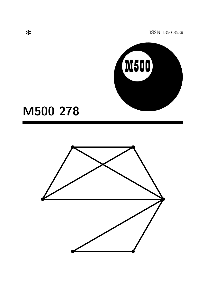ISSN 1350-8539



# M500 278

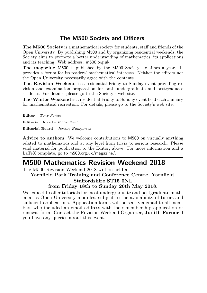### The M500 Society and Officers

The M500 Society is a mathematical society for students, staff and friends of the Open University. By publishing M500 and by organizing residential weekends, the Society aims to promote a better understanding of mathematics, its applications and its teaching. Web address: m500.org.uk.

The magazine M500 is published by the M500 Society six times a year. It provides a forum for its readers' mathematical interests. Neither the editors nor the Open University necessarily agree with the contents.

The Revision Weekend is a residential Friday to Sunday event providing revision and examination preparation for both undergraduate and postgraduate students. For details, please go to the Society's web site.

The Winter Weekend is a residential Friday to Sunday event held each January for mathematical recreation. For details, please go to the Society's web site.

Editor – Tony Forbes

Editorial Board – Eddie Kent

Editorial Board – Jeremy Humphries

Advice to authors We welcome contributions to M500 on virtually anything related to mathematics and at any level from trivia to serious research. Please send material for publication to the Editor, above. For more information and a LaTeX template, go to m500.org.uk/magazine/.

# M500 Mathematics Revision Weekend 2018

The M500 Revision Weekend 2018 will be held at

Yarnfield Park Training and Conference Centre, Yarnfield, Staffordshire ST15 0NL

from Friday 18th to Sunday 20th May 2018.

We expect to offer tutorials for most undergraduate and postgraduate mathematics Open University modules, subject to the availability of tutors and sufficient applications. Application forms will be sent via email to all members who included an email address with their membership application or renewal form. Contact the Revision Weekend Organizer, Judith Furner if you have any queries about this event.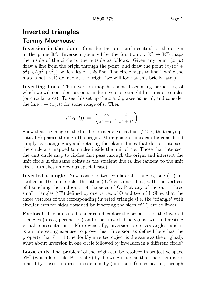# Inverted triangles

#### Tommy Moorhouse

Inversion in the plane Consider the unit circle centred on the origin in the plane  $\mathbb{R}^2$ . Inversion (denoted by the function  $i : \mathbb{R}^2 \to \mathbb{R}^2$ ) maps the inside of the circle to the outside as follows. Given any point  $(x, y)$ draw a line from the origin through the point, and draw the point  $\left(\frac{x}{x^2 + 1}\right)$  $(y^2)$ ,  $y/(x^2+y^2)$ , which lies on this line. The circle maps to itself, while the map is not (yet) defined at the origin (we will look at this briefly later).

Inverting lines The inversion map has some fascinating properties, of which we will consider just one: under inversion straight lines map to circles (or circular arcs). To see this set up the x and y axes as usual, and consider the line  $t \to (x_0, t)$  for some range of t. Then

$$
i((x_0, t)) = \left(\frac{x_0}{x_0^2 + t^2}, \frac{t}{x_0^2 + t^2}\right).
$$

Show that the image of the line lies on a circle of radius  $1/(2x_0)$  that (asymptotically) passes through the origin. More general lines can be considered simply by changing  $x_0$  and rotating the plane. Lines that do not intersect the circle are mapped to circles inside the unit circle. Those that intersect the unit circle map to circles that pass through the origin and intersect the unit circle in the same points as the straight line (a line tangent to the unit circle furnishes an obvious special case).

Inverted triangle Now consider two equilateral triangles, one  $(T)$  inscribed in the unit circle, the other  $(°O')$  circumscribed, with the vertices of I touching the midpoints of the sides of O. Pick any of the outer three small triangles ('T') defined by one vertex of O and two of I. Show that the three vertices of the corresponding inverted triangle (i.e. the 'triangle' with circular arcs for sides obtained by inverting the sides of T) are collinear.

Explore! The interested reader could explore the properties of the inverted triangles (areas, perimeters) and other inverted polygons, with interesting visual representations. More generally, inversion preserves angles, and it is an interesting exercise to prove this. Inversion as defined here has the property that  $i^2 = 1$  (the doubly inverted object is the same as the original): what about inversion in one circle followed by inversion in a different circle?

Loose ends The 'problem' of the origin can be resolved in projective space  $\mathbb{RP}^2$  (which looks like  $\mathbb{R}^2$  locally) by 'blowing it up' so that the origin is replaced by the set of directions defined by (unoriented) lines passing through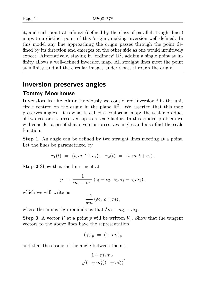it, and each point at infinity (defined by the class of parallel straight lines) maps to a distinct point of this 'origin', making inversion well defined. In this model any line approaching the origin passes through the point defined by its direction and emerges on the other side as one would intuitively expect. Alternatively, staying in 'ordinary'  $\mathbb{R}^2$ , adding a single point at infinity allows a well-defined inversion map. All straight lines meet the point at infinity, and all the circular images under  $i$  pass through the origin.

### Inversion preserves angles

#### Tommy Moorhouse

Inversion in the plane Previously we considered inversion  $i$  in the unit circle centred on the origin in the plane  $\mathbb{R}^2$ . We asserted that this map preserves angles. It is what is called a conformal map: the scalar product of two vectors is preserved up to a scale factor. In this guided problem we will consider a proof that inversion preserves angles and also find the scale function.

Step 1 An angle can be defined by two straight lines meeting at a point. Let the lines be parametrized by

$$
\gamma_1(t) = (t, m_1t + c_1); \quad \gamma_2(t) = (t, m_2t + c_2).
$$

Step 2 Show that the lines meet at

$$
p = \frac{1}{m_2 - m_1} (c_1 - c_2, c_1 m_2 - c_2 m_1),
$$

which we will write as

$$
\frac{-1}{\delta m} (\delta c, \ c \times m),
$$

where the minus sign reminds us that  $\delta m = m_1 - m_2$ .

**Step 3** A vector V at a point p will be written  $V_p$ . Show that the tangent vectors to the above lines have the representation

$$
(\dot{\gamma}_i)_p = (1, m_i)_p
$$

and that the cosine of the angle between them is

$$
\frac{1 + m_1 m_2}{\sqrt{(1 + m_1^2)(1 + m_2^2)}}.
$$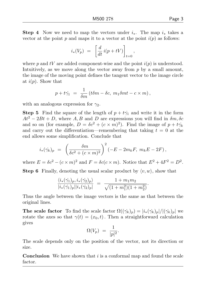Step 4 Now we need to map the vectors under  $i<sub>∗</sub>$ . The map  $i<sub>∗</sub>$  takes a vector at the point p and maps it to a vector at the point  $i(p)$  as follows:

$$
i_*(V_p) = \left[ \frac{d}{dt} i(p + tV) \right]_{t=0},
$$

where p and tV are added component-wise and the point  $i(p)$  is understood. Intuitively, as we move along the vector away from  $p$  by a small amount, the image of the moving point defines the tangent vector to the image circle at  $i(p)$ . Show that

$$
p + t\dot{\gamma_1} = \frac{1}{\delta m} (t\delta m - \delta c, m_1 \delta m t - c \times m),
$$

with an analogous expression for  $\gamma_2$ .

**Step 5** Find the square of the length of  $p + t\dot{\gamma}_1$  and write it in the form  $At^2 - 2Bt + D$ , where A, B and D are expressions you will find in  $\delta m, \delta c$ and so on (for example,  $D = \delta c^2 + (c \times m)^2$ ). Find the image of  $p + t\dot{\gamma_k}$ and carry out the differentiation—remembering that taking  $t = 0$  at the end allows some simplification. Conclude that

$$
i_{*}(\dot{\gamma_k})_p = \left(\frac{\delta m}{\delta c^2 + (c \times m)^2}\right)^2 (-E - 2m_k F, m_k E - 2F),
$$

where  $E = \delta c^2 - (c \times m)^2$  and  $F = \delta c (c \times m)$ . Notice that  $E^2 + 4F^2 = D^2$ .

**Step 6** Finally, denoting the usual scalar product by  $\langle v, w \rangle$ , show that

$$
\frac{\langle i_*(\dot{\gamma_1})_p, i_*(\dot{\gamma_2})_p \rangle}{|i_*(\dot{\gamma_1})_p||i_*(\dot{\gamma_2})_p|} = \frac{1 + m_1 m_2}{\sqrt{(1 + m_1^2)(1 + m_2^2)}}.
$$

Thus the angle between the image vectors is the same as that between the original lines.

**The scale factor** To find the scale factor  $\Omega((\dot{\gamma}_k)_p) = |i_*(\dot{\gamma}_k)_p|/|(\dot{\gamma}_k)_p|$  we rotate the axes so that  $\gamma(t) = (x_0, t)$ . Then a straightforward calculation gives

$$
\Omega(V_p) \,\,=\,\, \frac{1}{|p|^2}.
$$

The scale depends only on the position of the vector, not its direction or size.

**Conclusion** We have shown that  $i$  is a conformal map and found the scale factor.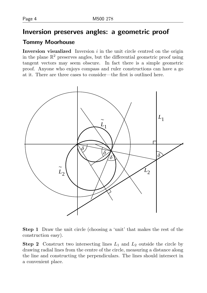# Inversion preserves angles: a geometric proof

### Tommy Moorhouse

Inversion visualized Inversion  $i$  in the unit circle centred on the origin in the plane  $\mathbb{R}^2$  preserves angles, but the differential geometric proof using tangent vectors may seem obscure. In fact there is a simple geometric proof. Anyone who enjoys compass and ruler constructions can have a go at it. There are three cases to consider—the first is outlined here.



Step 1 Draw the unit circle (choosing a 'unit' that makes the rest of the construction easy).

**Step 2** Construct two intersecting lines  $L_1$  and  $L_2$  outside the circle by drawing radial lines from the centre of the circle, measuring a distance along the line and constructing the perpendiculars. The lines should intersect in a convenient place.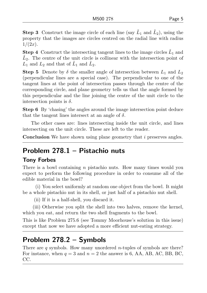**Step 3** Construct the image circle of each line (say  $\tilde{L}_1$  and  $\tilde{L}_2$ ), using the property that the images are circles centred on the radial line with radius  $1/(2x)$ .

**Step 4** Construct the intersecting tangent lines to the image circles  $\tilde{L}_1$  and  $\tilde{L}_2$ . The centre of the unit circle is collinear with the intersection point of  $L_1$  and  $L_2$  and that of  $\tilde{L}_1$  and  $\tilde{L}_2$ .

**Step 5** Denote by  $\delta$  the smaller angle of intersection between  $L_1$  and  $L_2$ (perpendicular lines are a special case). The perpendicular to one of the tangent lines at the point of intersection passes through the centre of the corresponding circle, and plane geometry tells us that the angle formed by this perpendicular and the line joining the centre of the unit circle to the intersection points is  $\delta$ .

Step 6 By 'chasing' the angles around the image intersection point deduce that the tangent lines intersect at an angle of  $\delta$ .

The other cases are: lines intersecting inside the unit circle, and lines intersecting on the unit circle. These are left to the reader.

**Conclusion** We have shown using plane geometry that  $i$  preserves angles.

# Problem 278.1 – Pistachio nuts

#### Tony Forbes

There is a bowl containing n pistachio nuts. How many times would you expect to perform the following procedure in order to consume all of the edible material in the bowl?

(i) You select uniformly at random one object from the bowl. It might be a whole pistachio nut in its shell, or just half of a pistachio nut shell.

(ii) If it is a half-shell, you discard it.

(iii) Otherwise you split the shell into two halves, remove the kernel, which you eat, and return the two shell fragments to the bowl.

This is like Problem 275.6 (see Tommy Moorhouse's solution in this issue) except that now we have adopted a more efficient nut-eating strategy.

# Problem 278.2 – Symbols

There are  $q$  symbols. How many unordered *n*-tuples of symbols are there? For instance, when  $q = 3$  and  $n = 2$  the answer is 6, AA, AB, AC, BB, BC, CC.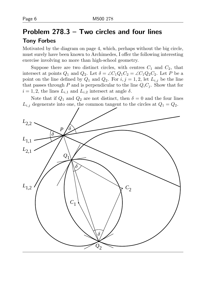# Problem 278.3 – Two circles and four lines Tony Forbes

Motivated by the diagram on page 4, which, perhaps without the big circle, must surely have been known to Archimedes, I offer the following interesting exercise involving no more than high-school geometry.

Suppose there are two distinct circles, with centres  $C_1$  and  $C_2$ , that intersect at points  $Q_1$  and  $Q_2$ . Let  $\delta = \angle C_1 Q_1 C_2 = \angle C_1 Q_2 C_2$ . Let P be a point on the line defined by  $Q_1$  and  $Q_2$ . For  $i, j = 1, 2$ , let  $L_{i,j}$  be the line that passes through P and is perpendicular to the line  $Q_iC_j$ . Show that for  $i = 1, 2$ , the lines  $L_{i,1}$  and  $L_{i,2}$  intersect at angle  $\delta$ .

Note that if  $Q_1$  and  $Q_2$  are not distinct, then  $\delta = 0$  and the four lines  $L_{i,j}$  degenerate into one, the common tangent to the circles at  $Q_1 = Q_2$ .

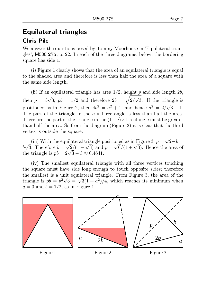# Equilateral triangles

#### Chris Pile

We answer the questions posed by Tommy Moorhouse in 'Equilateral triangles', M500 275, p. 22. In each of the three diagrams, below, the bordering square has side 1.

(i) Figure 1 clearly shows that the area of an equilateral triangle is equal to the shaded area and therefore is less than half the area of a square with the same side length.

(ii) If an equilateral triangle has area  $1/2$ , height p and side length  $2b$ , then  $p = b$ √  $\overline{3}$ ,  $pb = 1/2$  and therefore  $2b = \sqrt{2/2}$ √ 3. If the triangle is positioned as in Figure 2, then  $4b^2 = a^2 + 1$ , and hence  $a^2 = 2/\sqrt{3} - 1$ . The part of the triangle in the  $a \times 1$  rectangle is less than half the area. Therefore the part of the triangle in the  $(1-a) \times 1$  rectangle must be greater than half the area. So from the diagram (Figure 2) it is clear that the third vertex is outside the square.

(iii) With the equilateral triangle positioned as in Figure 3,  $p =$ √ uilateral triangle positioned as in Figure 3,  $p = \sqrt{2-b} = \sqrt{2-b}$ b √ (iii) with the equilateral triangle positioned as in Figure 5,  $p = \sqrt{2}-b =$ <br>3. Therefore  $b = \sqrt{2}/(1 + \sqrt{3})$  and  $p = \sqrt{6}/(1 + \sqrt{3})$ . Hence the area of  $\omega \sqrt{s}$ . Therefore  $\omega = \sqrt{2}/(1 + \sqrt{s})$  and<br>the triangle is  $pb = 2\sqrt{3} - 3 \approx 0.4641$ .

(iv) The smallest equilateral triangle with all three vertices touching the square must have side long enough to touch opposite sides; therefore the smallest is a unit equilateral triangle. From Figure 3, the area of the the smallest is a unit equilateral triangle. From Figure 3, the area of the triangle is  $pb = b^2\sqrt{3} = \sqrt{3}(1+a^2)/4$ , which reaches its minimum when  $a = 0$  and  $b = 1/2$ , as in Figure 1.

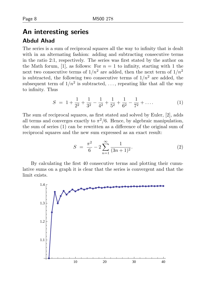# An interesting series Abdul Ahad

The series is a sum of reciprocal squares all the way to infinity that is dealt with in an alternating fashion: adding and subtracting consecutive terms in the ratio 2:1, respectively. The series was first stated by the author on the Math forum, [1], as follows: For  $n = 1$  to infinity, starting with 1 the next two consecutive terms of  $1/n^2$  are added, then the next term of  $1/n^2$ is subtracted, the following two consecutive terms of  $1/n^2$  are added, the subsequent term of  $1/n^2$  is subtracted, ..., repeating like that all the way to infinity. Thus

$$
S = 1 + \frac{1}{2^2} + \frac{1}{3^2} - \frac{1}{4^2} + \frac{1}{5^2} + \frac{1}{6^2} - \frac{1}{7^2} + \dots
$$
 (1)

The sum of reciprocal squares, as first stated and solved by Euler, [2], adds all terms and converges exactly to  $\pi^2/6$ . Hence, by algebraic manipulation, the sum of series (1) can be rewritten as a difference of the original sum of reciprocal squares and the new sum expressed as an exact result:

$$
S = \frac{\pi^2}{6} - 2 \sum_{n=1}^{\infty} \frac{1}{(3n+1)^2}.
$$
 (2)

By calculating the first 40 consecutive terms and plotting their cumulative sums on a graph it is clear that the series is convergent and that the limit exists.

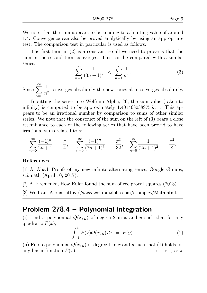We note that the sum appears to be tending to a limiting value of around 1.4. Convergence can also be proved analytically by using an appropriate test. The comparison test in particular is used as follows.

The first term in  $(2)$  is a constant, so all we need to prove is that the sum in the second term converges. This can be compared with a similar series:

$$
\sum_{n=1}^{\infty} \frac{1}{(3n+1)^2} < \sum_{n=1}^{\infty} \frac{1}{n^2}.\tag{3}
$$

Since  $\sum_{n=1}^{\infty}$  $n=1$ 1  $\frac{1}{n^2}$  converges absolutely the new series also converges absolutely.

Inputting the series into Wolfram Alpha, [3], the sum value (taken to infinity) is computed to be approximately  $1.4014680389755...$  This appears to be an irrational number by comparison to sums of other similar series. We note that the construct of the sum on the left of (3) bears a close resemblance to each of the following series that have been proved to have irrational sums related to  $\pi$ .

$$
\sum_{n=0}^{\infty} \frac{(-1)^n}{2n+1} = \frac{\pi}{4}, \quad \sum_{n=0}^{\infty} \frac{(-1)^n}{(2n+1)^3} = \frac{\pi^3}{32}, \quad \sum_{n=0}^{\infty} \frac{1}{(2n+1)^2} = \frac{\pi^2}{8}.
$$

#### References

[1] A. Ahad, Proofs of my new infinite alternating series, Google Groups, sci.math (April 10, 2017).

[2] A. Eremenko, How Euler found the sum of reciprocal squares (2013).

[3] Wolfram Alpha, https://www.wolframalpha.com/examples/Math.html.

## Problem 278.4 – Polynomial integration

(i) Find a polynomial  $Q(x, y)$  of degree 2 in x and y such that for any quadratic  $P(x)$ ,

$$
\int_{-1}^{1} P(x)Q(x,y) dx = P(y).
$$
 (1)

(ii) Find a polynomial  $Q(x, y)$  of degree 1 in x and y such that (1) holds for any linear function  $P(x)$ . Hint: Do (ii) first.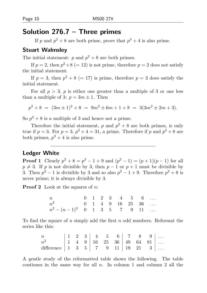# Solution 276.7 – Three primes

If p and  $p^2 + 8$  are both prime, prove that  $p^3 + 4$  is also prime.

#### Stuart Walmsley

The initial statement:  $p$  and  $p^2 + 8$  are both primes.

If  $p = 2$ , then  $p^2 + 8 (= 12)$  is not prime, therefore  $p = 2$  does not satisfy the initial statement.

If  $p = 3$ , then  $p^2 + 8 (= 17)$  is prime, therefore  $p = 3$  does satisfy the initial statement.

For all  $p > 3$ , p is either one greater than a multiple of 3 or one less than a multiple of 3:  $p = 3m \pm 1$ . Then

$$
p^2 + 8 = (3m \pm 1)^2 + 8 = 9m^2 \pm 6m + 1 + 8 = 3(3m^2 \pm 2m + 3).
$$

So  $p^2 + 8$  is a multiple of 3 and hence not a prime.

Therefore the initial statement, p and  $p^2 + 8$  are both primes, is only true if  $p = 3$ . For  $p = 3$ ,  $p^3 + 4 = 31$ , a prime. Therefore if p and  $p^2 + 8$  are both primes,  $p^3 + 4$  is also prime.

#### Ledger White

**Proof 1** Clearly  $p^2 + 8 = p^2 - 1 + 9$  and  $(p^2 - 1) = (p + 1)(p - 1)$  for all  $p \neq 3$ . If p is not divisible by 3, then  $p - 1$  or  $p + 1$  must be divisible by 3. Then  $p^2 - 1$  is divisible by 3 and so also  $p^2 - 1 + 9$ . Therefore  $p^2 + 8$  is never prime; it is always divisible by 3.

**Proof 2** Look at the squares of  $n$ :

| $\mathfrak n$                  |  |  | $0 \quad 1 \quad 2 \quad 3 \quad 4 \quad 5 \quad 6 \quad \ldots$ |  |  |
|--------------------------------|--|--|------------------------------------------------------------------|--|--|
| $n^2$ 0 1 4 9 16 25 36         |  |  |                                                                  |  |  |
| $n^2 - (n-1)^2$ 0 1 3 5 7 9 11 |  |  |                                                                  |  |  |

To find the square of n simply add the first n odd numbers. Reformat the series like this:

| $\boldsymbol{n}$                                                    |  |  |                                                                                     |  |  |
|---------------------------------------------------------------------|--|--|-------------------------------------------------------------------------------------|--|--|
| $n^2$                                                               |  |  | $1 \quad 4 \quad 9 \mid 16 \quad 25 \quad 36 \mid 49 \quad 64 \quad 81 \mid \ldots$ |  |  |
| difference $\begin{vmatrix} 1 & 3 & 5 \end{vmatrix}$ 7 9 11 19 21 3 |  |  |                                                                                     |  |  |

A gentle study of the reformatted table shows the following. The table continues in the same way for all  $n$ . In column 1 and column 2 all the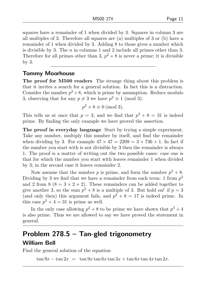squares have a remainder of 1 when divided by 3. Squares in column 3 are all multiples of 3. Therefore all squares are (a) multiples of 3 or (b) have a remainder of 1 when divided by 3. Adding 8 to those gives a number which is divisible by 3. The  $n$  in columns 1 and 2 include all primes other than 3. Therefore for all primes other than 3,  $p^2 + 8$  is never a prime; it is divisible by 3.

#### Tommy Moorhouse

The proof for M500 readers The strange thing about this problem is that it invites a search for a general solution. In fact this is a distraction. Consider the number  $p^2 + 8$ , which is prime by assumption. Reduce modulo 3, observing that for any  $p \neq 3$  we have  $p^2 \equiv 1 \pmod{3}$ :

$$
p^2 + 8 \equiv 0 \pmod{3}.
$$

This tells us at once that  $p = 3$ , and we find that  $p^3 + 8 = 31$  is indeed prime. By finding the only example we have proved the assertion.

The proof in everyday language Start by trying a simple experiment. Take any number, multiply this number by itself, and find the remainder when dividing by 3. For example  $47 \times 47 = 2209 = 3 \times 736 + 1$ . In fact if the number you start with is not divisible by 3 then the remainder is always 1. The proof is a matter of writing out the two possible cases: case one is that for which the number you start with leaves remainder 1 when divided by 3; in the second case it leaves remainder 2.

Now assume that the number p is prime, and form the number  $p^2 + 8$ . Dividing by 3 we find that we have a remainder from each term: 1 from  $p^2$ and 2 from 8 ( $8 = 3 \times 2 + 2$ ). These remainders can be added together to give another 3, so the sum  $p^2 + 8$  is a multiple of 3. But hold on! if  $p = 3$ (and only then) this argument fails, and  $p^2 + 8 = 17$  is indeed prime. In this case  $p^3 + 4 = 31$  is prime as well.

In the only case allowing  $p^2 + 8$  to be prime we have shown that  $p^3 + 4$ is also prime. Thus we are allowed to say we have proved the statement in general.

# Problem 278.5 – Tan-gled trigonometry William Bell

Find the general solution of the equation

 $\tan 9x - \tan 2x = \tan 9x \tan 6x \tan 3x + \tan 6x \tan 4x \tan 2x$ .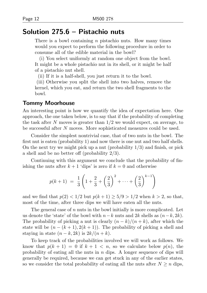# Solution 275.6 – Pistachio nuts

There is a bowl containing  $n$  pistachio nuts. How many times would you expect to perform the following procedure in order to consume all of the edible material in the bowl?

(i) You select uniformly at random one object from the bowl. It might be a whole pistachio nut in its shell, or it might be half of a pistachio nut shell.

(ii) If it is a half-shell, you just return it to the bowl.

(iii) Otherwise you split the shell into two halves, remove the kernel, which you eat, and return the two shell fragments to the bowl.

#### Tommy Moorhouse

An interesting point is how we quantify the idea of expectation here. One approach, the one taken below, is to say that if the probability of completing the task after N moves is greater than  $1/2$  we would expect, on average, to be successful after N moves. More sophisticated measures could be used.

Consider the simplest nontrivial case, that of two nuts in the bowl. The first nut is eaten (probability 1) and now there is one nut and two half shells. On the next try we might pick up a nut (probability  $1/3$ ) and finish, or pick a shell and be no better off (probability 2/3).

Continuing with this argument we conclude that the probability of finishing the nuts after  $k + 1$  'dips' is zero if  $k = 0$  and otherwise

$$
p(k+1) = \frac{1}{3} \left( 1 + \frac{2}{3} + \left(\frac{2}{3}\right)^2 + \dots + \left(\frac{2}{3}\right)^{k-1} \right)
$$

and we find that  $p(2) < 1/2$  but  $p(k + 1) \ge 5/9 > 1/2$  when  $k > 2$ , so that, most of the time, after three dips we will have eaten all the nuts.

The general case of  $n$  nuts in the bowl initially is more complicated. Let us denote the 'state' of the bowl with  $n-k$  nuts and  $2k$  shells as  $(n-k, 2k)$ . The probability of picking a nut is clearly  $(n - k)/(n + k)$ , after which the state will be  $(n - (k + 1), 2(k + 1))$ . The probability of picking a shell and staying in state  $(n - k, 2k)$  is  $2k/(n + k)$ .

To keep track of the probabilities involved we will work as follows. We know that  $p(k + 1) = 0$  if  $k + 1 < n$ , so we calculate below  $p(n)$ , the probability of eating all the nuts in  $n$  dips. A longer sequence of dips will generally be required, because we can get stuck in any of the earlier states, so we consider the total probability of eating all the nuts after  $N \geq n$  dips,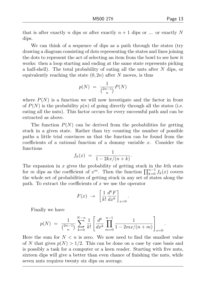We can think of a sequence of dips as a path through the states (try drawing a diagram consisting of dots representing the states and lines joining the dots to represent the act of selecting an item from the bowl to see how it works: then a loop starting and ending at the same state represents picking a half-shell). The total probability of eating all the nuts after N dips, or equivalently reaching the state  $(0, 2n)$  after N moves, is thus

$$
p(N) = \frac{1}{\binom{2n-1}{n}} P(N)
$$

where  $P(N)$  is a function we will now investigate and the factor in front of  $P(N)$  is the probability  $p(n)$  of going directly through all the states (i.e. eating all the nuts). This factor occurs for every successful path and can be extracted as above.

The function  $P(N)$  can be derived from the probabilities for getting stuck in a given state. Rather than try counting the number of possible paths a little trial convinces us that the function can be found from the coefficients of a rational function of a dummy variable  $x$ . Consider the functions

$$
f_k(x) = \frac{1}{1 - 2kx/(n+k)}.
$$

The expansion in  $x$  gives the probability of getting stuck in the  $k$ <sup>th</sup> state for m dips as the coefficient of  $x^m$ . Then the function  $\prod_{k=0}^{n-1} f_k(x)$  covers the whole set of probabilities of getting stuck in any set of states along the path. To extract the coefficients of  $x$  we use the operator

$$
F(x) \rightarrow \left[\frac{1}{k!} \frac{d^k F}{dx^k}\right]_{x=0}.
$$

Finally we have

$$
p(N) = \frac{1}{\binom{2n-1}{n}} \sum_{k=0}^{N-n} \frac{1}{k!} \left[ \frac{d^k}{dx^k} \prod_{m=0}^{n-1} \frac{1}{1 - 2mx/(n+m)} \right]_{x=0}
$$

Here the sum for  $N < n$  is zero. We now need to find the smallest value of N that gives  $p(N) > 1/2$ . This can be done on a case by case basis and is possibly a task for a computer or a keen reader. Starting with five nuts, sixteen dips will give a better than even chance of finishing the nuts, while seven nuts requires twenty six dips on average.

.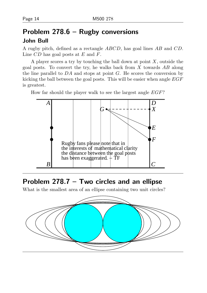# Problem 278.6 – Rugby conversions John Bull

A rugby pitch, defined as a rectangle ABCD, has goal lines AB and CD. Line  $CD$  has goal posts at  $E$  and  $F$ .

A player scores a try by touching the ball down at point  $X$ , outside the goal posts. To convert the try, he walks back from  $X$  towards  $AB$  along the line parallel to  $DA$  and stops at point  $G$ . He scores the conversion by kicking the ball between the goal posts. This will be easier when angle  $EGF$ is greatest.

How far should the player walk to see the largest angle EGF?



# Problem 278.7 – Two circles and an ellipse

What is the smallest area of an ellipse containing two unit circles?

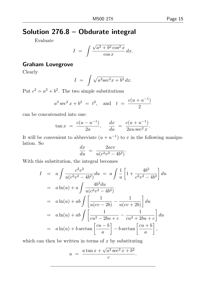# Solution 276.8 – Obdurate integral

Evaluate

$$
I = \int \frac{\sqrt{a^2 + b^2 \cos^2 x}}{\cos x} dx.
$$

#### Graham Lovegrove

Clearly

$$
I = \int \sqrt{a^2 \sec^2 x + b^2} \, dx.
$$

Put  $c^2 = a^2 + b^2$ . The two simple substitutions

$$
a^2 \sec^2 x + b^2 = t^2
$$
, and  $t = \frac{c(u + u^{-1})}{2}$ 

can be concatenated into one:

$$
\tan x = \frac{c(u - u^{-1})}{2a}, \quad \frac{dx}{du} = \frac{c(u + u^{-1})}{2au \sec^2 x}.
$$

It will be convenient to abbreviate  $(u + u^{-1})$  to v in the following manipulation. So

$$
\frac{dx}{du} = \frac{2acv}{u(c^2v^2 - 4b^2)}.
$$

With this substitution, the integral becomes

$$
I = a \int \frac{c^2 v^2}{u(c^2 v^2 - 4b^2)} du = a \int \frac{1}{u} \left[ 1 + \frac{4b^2}{c^2 v^2 - 4b^2} \right] du
$$
  
\n
$$
= a \ln(u) + a \int \frac{4b^2 du}{u(c^2 v^2 - 4b^2)}
$$
  
\n
$$
= a \ln(u) + ab \int \left[ \frac{1}{u(cv - 2b)} - \frac{1}{u(cv + 2b)} \right] du
$$
  
\n
$$
= a \ln(u) + ab \int \left[ \frac{1}{cu^2 - 2bu + c} - \frac{1}{cu^2 + 2bu + c} \right] du
$$
  
\n
$$
= a \ln(u) + b \arctan \left[ \frac{cu - b}{a} \right] - b \arctan \left[ \frac{cu + b}{a} \right],
$$

which can then be written in terms of  $x$  by substituting

$$
u = \frac{a \tan x + \sqrt{a^2 \sec^2 x + b^2}}{c}
$$

.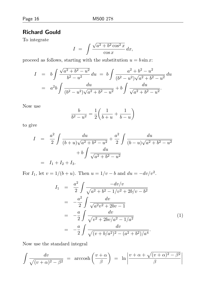#### Richard Gould

To integrate

$$
I = \int \frac{\sqrt{a^2 + b^2 \cos^2 x}}{\cos x} dx,
$$

proceed as follows, starting with the substitution  $u = b \sin x$ :

$$
I = b \int \frac{\sqrt{a^2 + b^2 - u^2}}{b^2 - u^2} du = b \int \frac{a^2 + b^2 - u^2}{(b^2 - u^2)\sqrt{a^2 + b^2 - u^2}} du
$$
  
=  $a^2 b \int \frac{du}{(b^2 - u^2)\sqrt{a^2 + b^2 - u^2}} + b \int \frac{du}{\sqrt{a^2 + b^2 - u^2}}.$ 

Now use

$$
\frac{b}{b^2 - u^2} = \frac{1}{2} \left( \frac{1}{b + u} + \frac{1}{b - u} \right)
$$

to give

$$
I = \frac{a^2}{2} \int \frac{du}{(b+u)\sqrt{a^2+b^2-u^2}} + \frac{a^2}{2} \int \frac{du}{(b-u)\sqrt{a^2+b^2-u^2}} + b \int \frac{du}{\sqrt{a^2+b^2-u^2}} = I_1 + I_2 + I_3.
$$

For  $I_1$ , let  $v = 1/(b + u)$ . Then  $u = 1/v - b$  and  $du = -dv/v^2$ .

$$
I_1 = \frac{a^2}{2} \int \frac{-dv/v}{\sqrt{a^2 + b^2 - 1/v^2 + 2b/v - b^2}}
$$
  
\n
$$
= -\frac{a^2}{2} \int \frac{dv}{\sqrt{a^2v^2 + 2bv - 1}}
$$
  
\n
$$
= -\frac{a}{2} \int \frac{dv}{\sqrt{v^2 + 2bv/a^2 - 1/a^2}}
$$
  
\n
$$
= -\frac{a}{2} \int \frac{dv}{\sqrt{(v + b/a^2)^2 - (a^2 + b^2)/a^4}}.
$$
\n(1)

Now use the standard integral

$$
\int \frac{dv}{\sqrt{(v+\alpha)^2 - \beta^2}} = \arccosh\left(\frac{v+\alpha}{\beta}\right) = \ln\left|\frac{v+\alpha+\sqrt{(v+\alpha)^2 - \beta^2}}{\beta}\right|
$$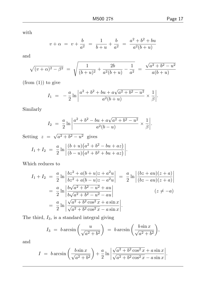with

$$
v + \alpha = v + \frac{b}{a^2} = \frac{1}{b+u} + \frac{b}{a^2} = \frac{a^2 + b^2 + bu}{a^2(b+u)}
$$

and

$$
\sqrt{(v+\alpha)^2 - \beta^2} = \sqrt{\frac{1}{(b+u)^2} + \frac{2b}{a^2(b+u)} - \frac{1}{a^2}} = \frac{\sqrt{a^2 + b^2 - u^2}}{a(b+u)}
$$

 $(from (1))$  to give

$$
I_1 = -\frac{a}{2} \ln \left| \frac{a^2 + b^2 + bu + a\sqrt{a^2 + b^2 - u^2}}{a^2(b+u)} \times \frac{1}{\beta} \right|.
$$

Similarly

$$
I_2 = \frac{a}{2} \ln \left| \frac{a^2 + b^2 - bu + a\sqrt{a^2 + b^2 - u^2}}{a^2(b - u)} \times \frac{1}{\beta} \right|.
$$

 .

Setting  $z =$ √  $a^2 + b^2 - u^2$  gives  $I_1 + I_2 = \frac{a}{2}$  $rac{a}{2} \ln \Bigg|$  $(b+u)(a^2+b^2-bu+az)$  $(b - u)(a^2 + b^2 + bu + az)$ 

Which reduces to

$$
I_1 + I_2 = \frac{a}{2} \ln \left| \frac{bz^2 + a(b+u)z + a^2u}{bz^2 + a(b-u)z - a^2u} \right| = \frac{a}{2} \ln \left| \frac{(bz + au)(z + a)}{(bz - au)(z + a)} \right|
$$
  
=  $\frac{a}{2} \ln \left| \frac{b\sqrt{a^2 + b^2 - u^2} + au}{b\sqrt{a^2 + b^2 - u^2} - au} \right|$   $(z \neq -a)$   
=  $\frac{a}{2} \ln \left| \frac{\sqrt{a^2 + b^2 \cos^2 x} + a \sin x}{\sqrt{a^2 + b^2 \cos^2 x} - a \sin x} \right|$ .

The third,  $I_3$ , is a standard integral giving

$$
I_3 = b \arcsin\left(\frac{u}{\sqrt{a^2 + b^2}}\right) = b \arcsin\left(\frac{b \sin x}{\sqrt{a^2 + b^2}}\right),
$$

and

$$
I = b \arcsin\left(\frac{b \sin x}{\sqrt{a^2 + b^2}}\right) + \frac{a}{2} \ln \left| \frac{\sqrt{a^2 + b^2 \cos^2 x} + a \sin x}{\sqrt{a^2 + b^2 \cos^2 x} - a \sin x} \right|.
$$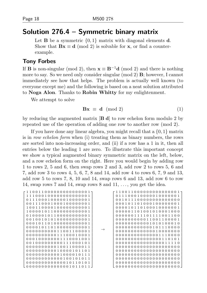### Solution 276.4 – Symmetric binary matrix

Let **B** be a symmetric  $\{0, 1\}$  matrix with diagonal elements **d**. Show that  $Bx \equiv d \pmod{2}$  is solvable for x, or find a counterexample.

#### Tony Forbes

If **B** is non-singular (mod 2), then  $\mathbf{x} \equiv \mathbf{B}^{-1}\mathbf{d}$  (mod 2) and there is nothing more to say. So we need only consider singular (mod 2) B; however, I cannot immediately see how that helps. The problem is actually well known (to everyone except me) and the following is based on a neat solution attributed to Noga Alon. Thanks to Robin Whitty for my enlightenment.

We attempt to solve

$$
\mathbf{Bx} \equiv \mathbf{d} \pmod{2} \tag{1}
$$

by reducing the augmented matrix  $[\mathbf{B} \mathbf{d}]$  to row echelon form modulo 2 by repeated use of the operation of adding one row to another row (mod 2).

If you have done any linear algebra, you might recall that a  $\{0, 1\}$  matrix is in row echelon form when (i) treating them as binary numbers, the rows are sorted into non-increasing order, and (ii) if a row has a 1 in it, then all entries below the leading 1 are zero. To illustrate this important concept we show a typical augmented binary symmetric matrix on the left, below, and a row echelon form on the right. Here you would begin by adding row 1 to rows 2, 5 and 6, then swap rows 2 and 3, add row 2 to rows 5, 6 and 7, add row 3 to rows 4, 5, 6, 7, 8 and 14, add row 4 to rows 6, 7, 9 and 13, add row 5 to rows 7, 8, 10 and 14, swap rows 6 and 13, add row 6 to row 14, swap rows 7 and 14, swap rows 8 and  $11, \ldots$ , you get the idea.

|                        | 110011000000000000001  |
|------------------------|------------------------|
| 111000100000000000001  | 011100010000010000001  |
| 011100010000010000001  | 0010111000000000000000 |
|                        |                        |
| 001110001000100000001  | 000101101000100000001  |
| 100110000100000000001  | 000010110100010000001  |
| 100001011000000000001  | 000001101001010001000  |
| 010000101100000000001  | 000000111101111001100  |
| 001001010100000000001  | 000000000011001100001  |
| 000101101000000000001  | 000000000001010100010  |
| 000010110100000000001  | 000000000000101110000  |
| 000000000011001100001  | 000000000000010000000  |
| 000000000011100010001  | 000000000000001110000  |
| 000100000001110001001  | 000000000000000110101  |
| 001000000000111000101  | 000000000000000011110  |
| 000000000010011000011  |                        |
|                        |                        |
| 000000000010000101101  |                        |
| 000000000001000010111  | 0000000000000000000000 |
| 000000000000100101011  |                        |
| 000000000000010110101  |                        |
| 1000000000000001011011 |                        |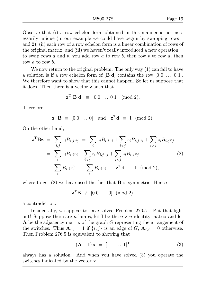Observe that (i) a row echelon form obtained in this manner is not necessarily unique (in our example we could have begun by swapping rows 1 and 2), (ii) each row of a row echelon form is a linear combination of rows of the original matrix, and (iii) we haven't really introduced a new operation to swap rows a and b, you add row a to row b, then row b to row a, then row a to row b.

We now return to the original problem. The only way  $(1)$  can fail to have a solution is if a row echelon form of  $[\mathbf{B} \mathbf{d}]$  contains the row  $[0 \ 0 \ \dots \ 0 \ 1]$ . We therefore want to show that this cannot happen. So let us suppose that it does. Then there is a vector z such that

$$
\mathbf{z}^{\mathrm{T}}[\mathbf{B} \; \mathbf{d}] \; \equiv \; [0 \; 0 \; \dots \; 0 \; 1] \; \; (\text{mod } 2).
$$

Therefore

 $\mathbf{z}^{\mathrm{T}}\mathbf{B} \equiv [0 \ 0 \ \dots \ 0]$  and  $\mathbf{z}^{\mathrm{T}}\mathbf{d} \equiv 1 \pmod{2}$ .

On the other hand,

$$
\mathbf{z}^{\mathrm{T}} \mathbf{B} \mathbf{z} = \sum_{i,j} z_i B_{i,j} z_j = \sum_i z_i B_{i,i} z_i + \sum_{i < j} z_i B_{i,j} z_j + \sum_{i > j} z_i B_{i,j} z_j
$$
\n
$$
= \sum_i z_i B_{i,i} z_i + \sum_{i < j} z_i B_{i,j} z_j + \sum_{i < j} z_i B_{i,j} z_j \tag{2}
$$
\n
$$
\equiv \sum_i B_{i,i} z_i^2 \equiv \sum_i B_{i,i} z_i \equiv \mathbf{z}^{\mathrm{T}} \mathbf{d} \equiv 1 \pmod{2},
$$

where to get  $(2)$  we have used the fact that **B** is symmetric. Hence

$$
\mathbf{z}^{\mathrm{T}}\mathbf{B} \ \not\equiv \ [0 \ 0 \ \dots \ 0] \ \ (\mathrm{mod} \ 2),
$$

a contradiction.

Incidentally, we appear to have solved Problem 276.5 – Put that light out! Suppose there are n lamps, let **I** be the  $n \times n$  identity matrix and let A be the adjacency matrix of the graph G representing the arrangement of the switches. Thus  $\mathbf{A}_{i,j} = 1$  if  $\{i,j\}$  is an edge of G,  $\mathbf{A}_{i,j} = 0$  otherwise. Then Problem 276.5 is equivalent to showing that

$$
(\mathbf{A} + \mathbf{I})\mathbf{x} = [1 \ 1 \ \dots \ 1]^{\mathrm{T}}
$$
\n(3)

always has a solution. And when you have solved (3) you operate the switches indicated by the vector x.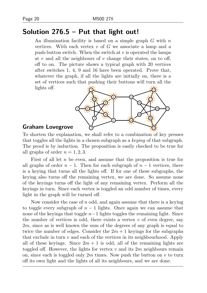# Solution 276.5 – Put that light out!

An illumination facility is based on a simple graph  $G$  with  $n$ vertices. With each vertex  $v$  of  $G$  we associate a lamp and a push-button switch. When the switch at  $v$  is operated the lamps at  $v$  and all the neighbours of  $v$  change their states, on to off, off to on. The picture shows a typical graph with 20 vertices after switches 1, 4, 9 and 16 have been operated. Prove that, whatever the graph, if all the lights are initially on, there is a set of vertices such that pushing their buttons will turn all the lights off.



#### Graham Lovegrove

To shorten the explanation, we shall refer to a combination of key presses that toggles all the lights in a chosen subgraph as a keying of that subgraph. The proof is by induction. The proposition is easily checked to be true for all graphs of order  $n = 1, 2, 3$ .

First of all let  $n$  be even, and assume that the proposition is true for all graphs of order  $n-1$ . Then for each subgraph of  $n-1$  vertices, there is a keying that turns all the lights off. If for one of these subgraphs, the keying also turns off the remaining vertex, we are done. So assume none of the keyings turns off the light of any remaining vertex. Perform all the keyings in turn. Since each vertex is toggled an odd number of times, every light in the graph will be turned off.

Now consider the case of  $n$  odd, and again assume that there is a keying to toggle every subgraph of  $n-1$  lights. Once again we can assume that none of the keyings that toggle  $n-1$  lights toggles the remaining light. Since the number of vertices is odd, there exists a vertex  $v$  of even degree, say 2m, since as is well known the sum of the degrees of any graph is equal to twice the number of edges. Consider the  $2m + 1$  keyings for the subgraphs that exclude in turn  $v$  and each of the vertices in its neighbourhood. Apply all of these keyings. Since  $2m + 1$  is odd, all of the remaining lights are toggled off. However, the lights for vertex  $v$  and its  $2m$  neighbours remain on, since each is toggled only  $2m$  times. Now push the button on v to turn off its own light and the lights of all its neighbours, and we are done.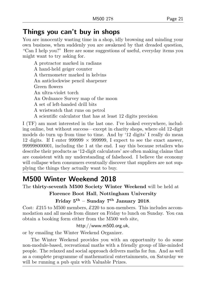# Things you can't buy in shops

You are innocently wasting time in a shop, idly browsing and minding your own business, when suddenly you are awakened by that dreaded question, "Can I help you?" Here are some suggestions of useful, everyday items you might want to try asking for.

A protractor marked in radians A hand-held geiger counter A thermometer marked in kelvins An anticlockwise pencil sharpener Green flowers An ultra-violet torch An Ordnance Survey map of the moon A set of left-handed drill bits A wristwatch that runs on petrol A scientific calculator that has at least 12 digits precision

I (TF) am most interested in the last one. I've looked everywhere, including online, but without success—except in charity shops, where old 12-digit models do turn up from time to time. And by '12 digits' I really do mean 12 digits. If I enter 999999  $\times$  999999, I expect to see the exact answer, 999998000001, including the 1 at the end. I say this because retailers who describe their products as '12-digit calculators' are often making claims that are consistent with my understanding of falsehood. I believe the economy will collapse when consumers eventually discover that suppliers are not supplying the things they actually want to buy.

# M500 Winter Weekend 2018

The thirty-seventh M500 Society Winter Weekend will be held at

Florence Boot Hall, Nottingham University

Friday  $5^{\text{th}}$  – Sunday  $7^{\text{th}}$  January 2018.

Cost: £215 to M500 members, £220 to non-members. This includes accommodation and all meals from dinner on Friday to lunch on Sunday. You can obtain a booking form either from the M500 web site,

http://www.m500.org.uk,

or by emailing the Winter Weekend Organizer.

The Winter Weekend provides you with an opportunity to do some non-module-based, recreational maths with a friendly group of like-minded people. The relaxed and social approach delivers maths for fun. And as well as a complete programme of mathematical entertainments, on Saturday we will be running a pub quiz with Valuable Prizes.